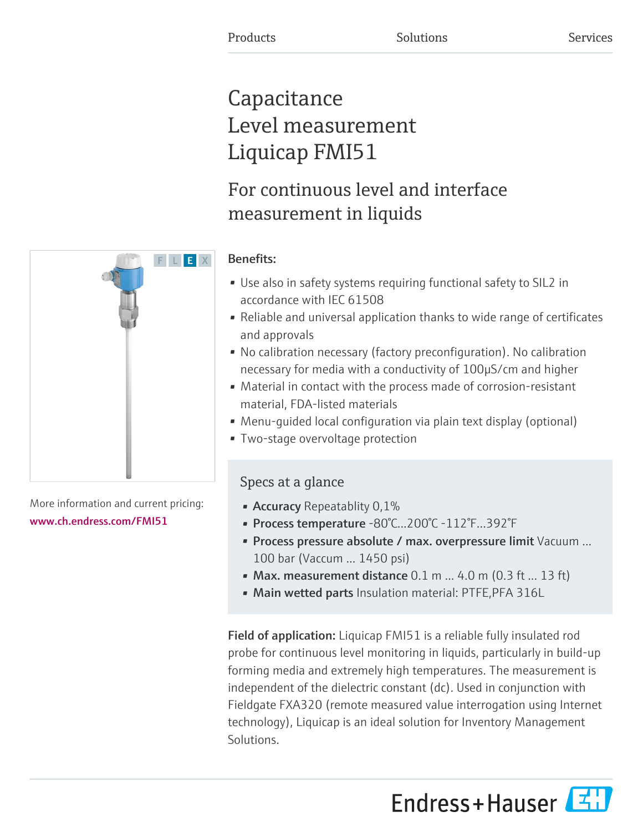# **Capacitance** Level measurement Liquicap FMI51

# For continuous level and interface measurement in liquids



F L E X

- Use also in safety systems requiring functional safety to SIL2 in accordance with IEC 61508
- Reliable and universal application thanks to wide range of certificates and approvals
- No calibration necessary (factory preconfiguration). No calibration necessary for media with a conductivity of 100μS/cm and higher
- Material in contact with the process made of corrosion-resistant material, FDA-listed materials
- Menu-guided local configuration via plain text display (optional)
- Two-stage overvoltage protection

# Specs at a glance

- **Accuracy** Repeatablity 0,1%
- Process temperature -80°C...200°C -112°F...392°F
- Process pressure absolute / max. overpressure limit Vacuum ... 100 bar (Vaccum ... 1450 psi)
- Max. measurement distance  $0.1$  m  $\dots$  4.0 m (0.3 ft  $\dots$  13 ft)
- Main wetted parts Insulation material: PTFE, PFA 316L

Field of application: Liquicap FMI51 is a reliable fully insulated rod probe for continuous level monitoring in liquids, particularly in build-up forming media and extremely high temperatures. The measurement is independent of the dielectric constant (dc). Used in conjunction with Fieldgate FXA320 (remote measured value interrogation using Internet technology), Liquicap is an ideal solution for Inventory Management Solutions.

Endress+Hauser



More information and current pricing: [www.ch.endress.com/FMI51](https://www.ch.endress.com/FMI51)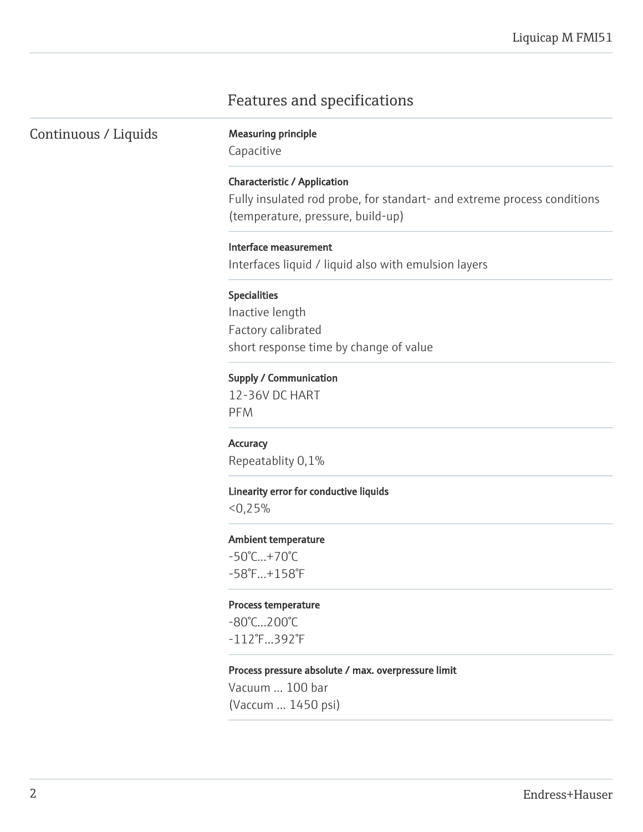# Features and specifications

Continuous / Liquids Measuring principle

Capacitive

# Characteristic / Application

Fully insulated rod probe, for standart- and extreme process conditions (temperature, pressure, build-up)

### Interface measurement

Interfaces liquid / liquid also with emulsion layers

#### Specialities

Inactive length Factory calibrated short response time by change of value

# Supply / Communication

12-36V DC HART PFM

**Accuracy** Repeatablity 0,1%

### Linearity error for conductive liquids

 $< 0.25%$ 

# Ambient temperature

-50°C...+70°C -58°F...+158°F

#### Process temperature

-80°C...200°C -112°F...392°F

# Process pressure absolute / max. overpressure limit

Vacuum ... 100 bar (Vaccum ... 1450 psi)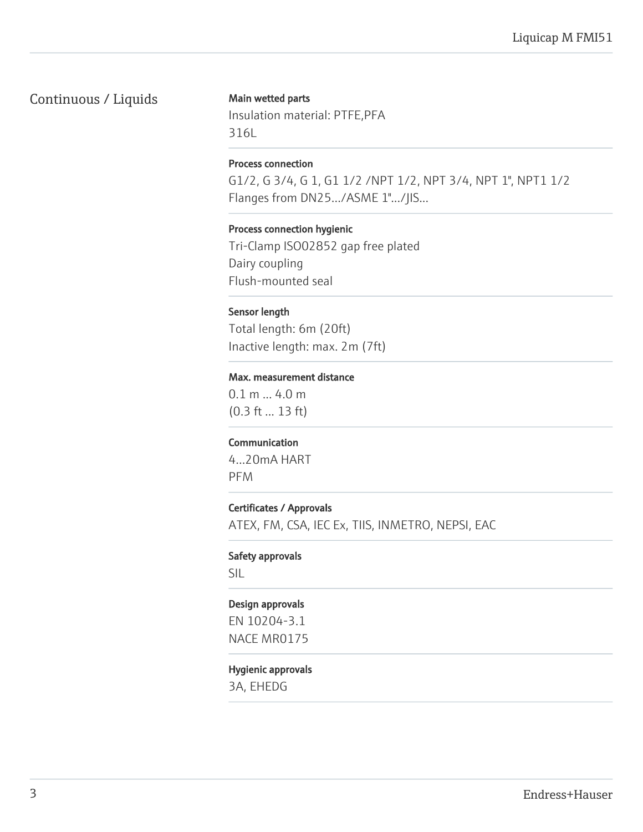# Continuous / Liquids

# Main wetted parts

Insulation material: PTFE,PFA 316L

# Process connection

G1/2, G 3/4, G 1, G1 1/2 /NPT 1/2, NPT 3/4, NPT 1", NPT1 1/2 Flanges from DN25.../ASME 1".../JIS...

# Process connection hygienic

Tri-Clamp ISO02852 gap free plated Dairy coupling Flush-mounted seal

# Sensor length

Total length: 6m (20ft) Inactive length: max. 2m (7ft)

# Max. measurement distance

0.1 m ... 4.0 m (0.3 ft ... 13 ft)

# Communication

4...20mA HART PFM

# Certificates / Approvals

ATEX, FM, CSA, IEC Ex, TIIS, INMETRO, NEPSI, EAC

# Safety approvals

SIL

# Design approvals

EN 10204-3.1 NACE MR0175

# Hygienic approvals

3A, EHEDG